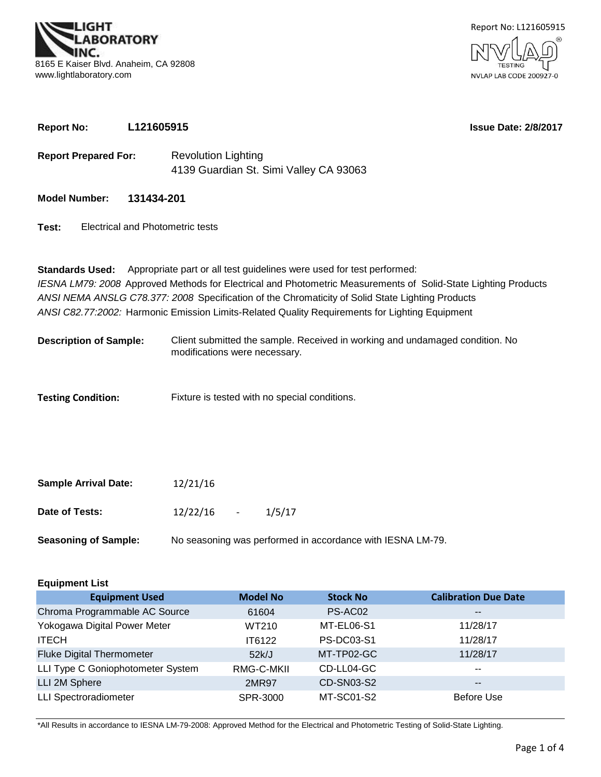



**Report No: L121605915**

**Issue Date: 2/8/2017**

- **Report Prepared For:** Revolution Lighting 4139 Guardian St. Simi Valley CA 93063
- **Model Number: 131434-201**
- **Test:** Electrical and Photometric tests

*ANSI C82.77:2002:* Harmonic Emission Limits-Related Quality Requirements for Lighting Equipment **Standards Used:** Appropriate part or all test guidelines were used for test performed: *IESNA LM79: 2008* Approved Methods for Electrical and Photometric Measurements of Solid-State Lighting Products *ANSI NEMA ANSLG C78.377: 2008* Specification of the Chromaticity of Solid State Lighting Products

- Client submitted the sample. Received in working and undamaged condition. No modifications were necessary. **Description of Sample:**
- **Testing Condition:** Fixture is tested with no special conditions.

| <b>Sample Arrival Date:</b> | 12/21/16                                       |
|-----------------------------|------------------------------------------------|
| Date of Tests:              | 12/22/16<br>1/5/17<br><b>Contract Contract</b> |
| Sessaning of Sample:        | No sessoning was performed in sccore           |

**Seasoning of Sample:** No seasoning was performed in accordance with IESNA LM-79.

| <b>Equipment List</b>             |                 |                   |                             |  |  |  |  |  |  |  |
|-----------------------------------|-----------------|-------------------|-----------------------------|--|--|--|--|--|--|--|
| <b>Equipment Used</b>             | <b>Model No</b> | <b>Stock No</b>   | <b>Calibration Due Date</b> |  |  |  |  |  |  |  |
| Chroma Programmable AC Source     | 61604           | PS-AC02           | $\sim$ $\sim$               |  |  |  |  |  |  |  |
| Yokogawa Digital Power Meter      | WT210           | MT-EL06-S1        | 11/28/17                    |  |  |  |  |  |  |  |
| <b>ITECH</b>                      | IT6122          | <b>PS-DC03-S1</b> | 11/28/17                    |  |  |  |  |  |  |  |
| <b>Fluke Digital Thermometer</b>  | 52k/J           | MT-TP02-GC        | 11/28/17                    |  |  |  |  |  |  |  |
| LLI Type C Goniophotometer System | RMG-C-MKII      | CD-LL04-GC        | $\sim$ $\sim$               |  |  |  |  |  |  |  |
| LLI 2M Sphere                     | 2MR97           | CD-SN03-S2        | $- -$                       |  |  |  |  |  |  |  |
| <b>LLI Spectroradiometer</b>      | SPR-3000        | MT-SC01-S2        | Before Use                  |  |  |  |  |  |  |  |

\*All Results in accordance to IESNA LM-79-2008: Approved Method for the Electrical and Photometric Testing of Solid-State Lighting.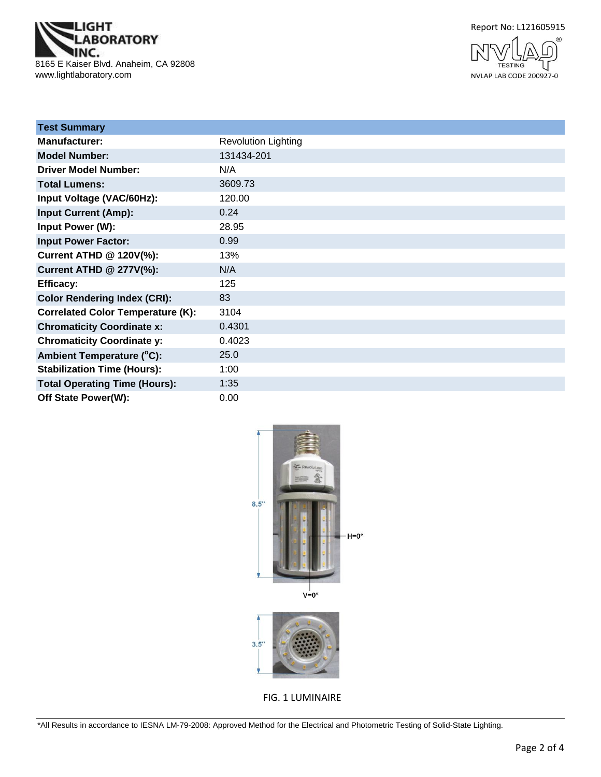





| <b>Test Summary</b>                      |                            |
|------------------------------------------|----------------------------|
| <b>Manufacturer:</b>                     | <b>Revolution Lighting</b> |
| <b>Model Number:</b>                     | 131434-201                 |
| <b>Driver Model Number:</b>              | N/A                        |
| <b>Total Lumens:</b>                     | 3609.73                    |
| Input Voltage (VAC/60Hz):                | 120.00                     |
| <b>Input Current (Amp):</b>              | 0.24                       |
| Input Power (W):                         | 28.95                      |
| <b>Input Power Factor:</b>               | 0.99                       |
| Current ATHD @ 120V(%):                  | 13%                        |
| <b>Current ATHD @ 277V(%):</b>           | N/A                        |
| <b>Efficacy:</b>                         | 125                        |
| <b>Color Rendering Index (CRI):</b>      | 83                         |
| <b>Correlated Color Temperature (K):</b> | 3104                       |
| <b>Chromaticity Coordinate x:</b>        | 0.4301                     |
| <b>Chromaticity Coordinate y:</b>        | 0.4023                     |
| Ambient Temperature (°C):                | 25.0                       |
| <b>Stabilization Time (Hours):</b>       | 1:00                       |
| <b>Total Operating Time (Hours):</b>     | 1:35                       |
| Off State Power(W):                      | 0.00                       |



FIG. 1 LUMINAIRE

\*All Results in accordance to IESNA LM-79-2008: Approved Method for the Electrical and Photometric Testing of Solid-State Lighting.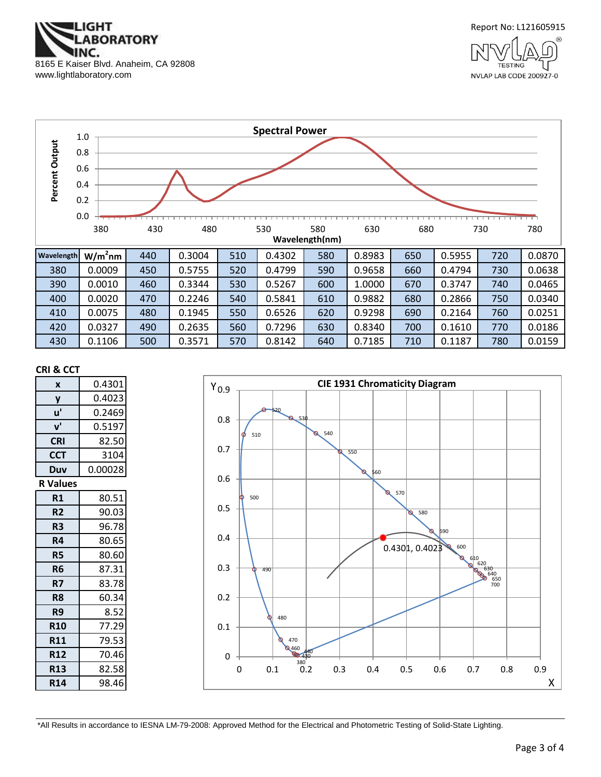





#### **CRI & CCT**

| X               | 0.4301  |
|-----------------|---------|
| y               | 0.4023  |
| u'              | 0.2469  |
| ${\bf v}'$      | 0.5197  |
| <b>CRI</b>      | 82.50   |
| <b>CCT</b>      | 3104    |
| Duv             | 0.00028 |
| <b>R</b> Values |         |
| R1              | 80.51   |
| R <sub>2</sub>  | 90.03   |
| R3              | 96.78   |
| R4              | 80.65   |
| R5              | 80.60   |
| R <sub>6</sub>  | 87.31   |
| R7              | 83.78   |
| R8              | 60.34   |
| R9              | 8.52    |
| <b>R10</b>      | 77.29   |
| <b>R11</b>      | 79.53   |
| <b>R12</b>      | 70.46   |
| <b>R13</b>      | 82.58   |
| <b>R14</b>      | 98.46   |



\*All Results in accordance to IESNA LM-79-2008: Approved Method for the Electrical and Photometric Testing of Solid-State Lighting.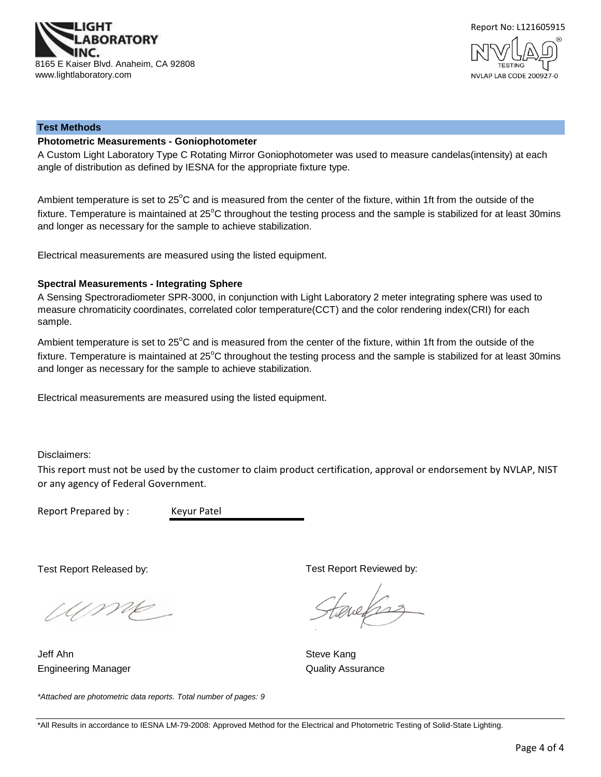



#### **Test Methods**

## **Photometric Measurements - Goniophotometer**

A Custom Light Laboratory Type C Rotating Mirror Goniophotometer was used to measure candelas(intensity) at each angle of distribution as defined by IESNA for the appropriate fixture type.

Ambient temperature is set to 25°C and is measured from the center of the fixture, within 1ft from the outside of the fixture. Temperature is maintained at  $25^{\circ}$ C throughout the testing process and the sample is stabilized for at least 30mins and longer as necessary for the sample to achieve stabilization.

Electrical measurements are measured using the listed equipment.

#### **Spectral Measurements - Integrating Sphere**

A Sensing Spectroradiometer SPR-3000, in conjunction with Light Laboratory 2 meter integrating sphere was used to measure chromaticity coordinates, correlated color temperature(CCT) and the color rendering index(CRI) for each sample.

Ambient temperature is set to 25°C and is measured from the center of the fixture, within 1ft from the outside of the fixture. Temperature is maintained at  $25^{\circ}$ C throughout the testing process and the sample is stabilized for at least 30mins and longer as necessary for the sample to achieve stabilization.

Electrical measurements are measured using the listed equipment.

Disclaimers:

This report must not be used by the customer to claim product certification, approval or endorsement by NVLAP, NIST or any agency of Federal Government.

Report Prepared by : Keyur Patel

Test Report Released by:

Ump

*\*Attached are photometric data reports. Total number of pages: 9*

Engineering Manager **Contract Contract Contract Contract Contract Contract Contract Contract Contract Contract Contract Contract Contract Contract Contract Contract Contract Contract Contract Contract Contract Contract Con** Jeff Ahn Steve Kang

Test Report Reviewed by:

evelses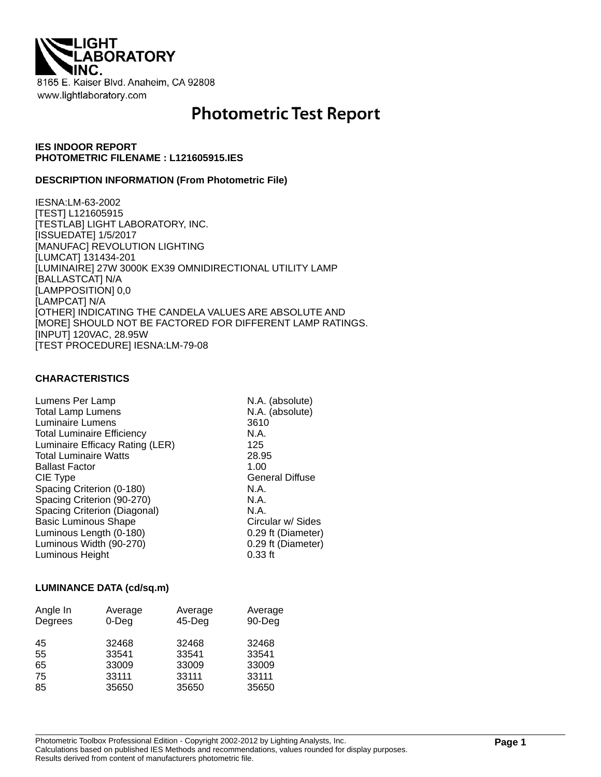

# **Photometric Test Report**

## **IES INDOOR REPORT PHOTOMETRIC FILENAME : L121605915.IES**

## **DESCRIPTION INFORMATION (From Photometric File)**

IESNA:LM-63-2002 [TEST] L121605915 [TESTLAB] LIGHT LABORATORY, INC. [ISSUEDATE] 1/5/2017 [MANUFAC] REVOLUTION LIGHTING [LUMCAT] 131434-201 [LUMINAIRE] 27W 3000K EX39 OMNIDIRECTIONAL UTILITY LAMP [BALLASTCAT] N/A [LAMPPOSITION] 0,0 [LAMPCAT] N/A [OTHER] INDICATING THE CANDELA VALUES ARE ABSOLUTE AND [MORE] SHOULD NOT BE FACTORED FOR DIFFERENT LAMP RATINGS. [INPUT] 120VAC, 28.95W [TEST PROCEDURE] IESNA:LM-79-08

## **CHARACTERISTICS**

| Lumens Per Lamp                   | N.A. (absolute)        |
|-----------------------------------|------------------------|
| <b>Total Lamp Lumens</b>          | N.A. (absolute)        |
| Luminaire Lumens                  | 3610                   |
| <b>Total Luminaire Efficiency</b> | N.A.                   |
| Luminaire Efficacy Rating (LER)   | 125                    |
| <b>Total Luminaire Watts</b>      | 28.95                  |
| <b>Ballast Factor</b>             | 1.00                   |
| CIE Type                          | <b>General Diffuse</b> |
| Spacing Criterion (0-180)         | N.A.                   |
| Spacing Criterion (90-270)        | N.A.                   |
| Spacing Criterion (Diagonal)      | N.A.                   |
| <b>Basic Luminous Shape</b>       | Circular w/ Sides      |
| Luminous Length (0-180)           | 0.29 ft (Diameter)     |
| Luminous Width (90-270)           | 0.29 ft (Diameter)     |
| Luminous Height                   | $0.33$ ft              |

## **LUMINANCE DATA (cd/sq.m)**

| Angle In<br>Degrees | Average<br>$0$ -Deg | Average<br>$45$ -Deg | Average<br>90-Deg |
|---------------------|---------------------|----------------------|-------------------|
| 45                  | 32468               | 32468                | 32468             |
| 55                  | 33541               | 33541                | 33541             |
| 65                  | 33009               | 33009                | 33009             |
| 75                  | 33111               | 33111                | 33111             |
| 85                  | 35650               | 35650                | 35650             |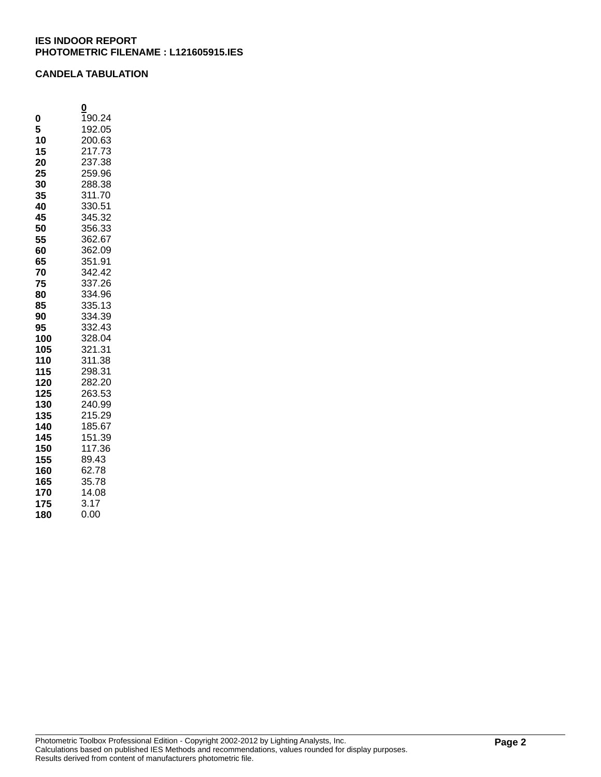## **CANDELA TABULATION**

|     | Q      |
|-----|--------|
| 0   | 190.24 |
| 5   | 192.05 |
| 10  | 200.63 |
| 15  | 217.73 |
| 20  | 237.38 |
| 25  | 259.96 |
| 30  | 288.38 |
| 35  | 311.70 |
| 40  | 330.51 |
| 45  | 345.32 |
| 50  | 356.33 |
| 55  | 362.67 |
| 60  | 362.09 |
| 65  | 351.91 |
| 70  | 342.42 |
| 75  | 337.26 |
| 80  | 334.96 |
| 85  | 335.13 |
| 90  | 334.39 |
| 95  | 332.43 |
| 100 | 328.04 |
| 105 | 321.31 |
| 110 | 311.38 |
| 115 | 298.31 |
| 120 | 282.20 |
| 125 | 263.53 |
| 130 | 240.99 |
| 135 | 215.29 |
| 140 | 185.67 |
| 145 | 151.39 |
| 150 | 117.36 |
| 155 | 89.43  |
| 160 | 62.78  |
| 165 | 35.78  |
| 170 | 14.08  |
| 175 | 3.17   |
| 180 | 0.00   |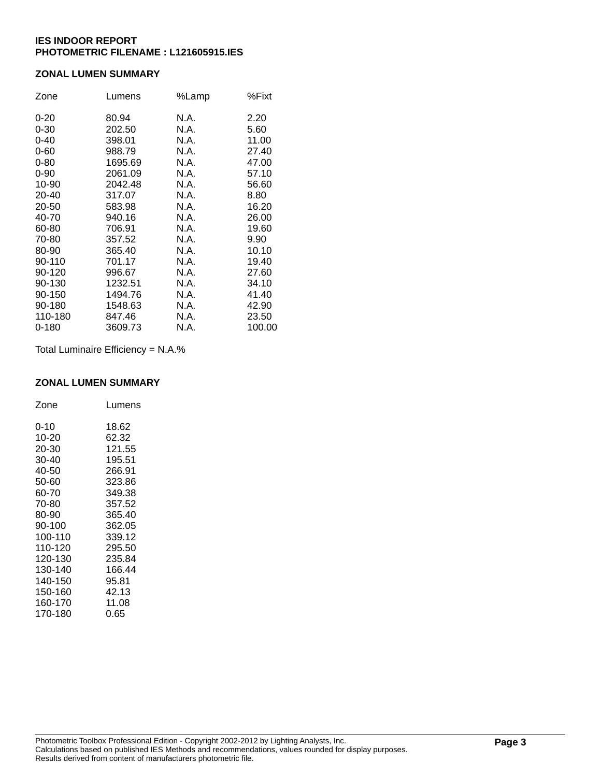## **ZONAL LUMEN SUMMARY**

| Zone      | Lumens  | %Lamp | %Fixt  |
|-----------|---------|-------|--------|
| $0 - 20$  | 80.94   | N.A.  | 2.20   |
| $0 - 30$  | 202.50  | N.A.  | 5.60   |
| $0 - 40$  | 398.01  | N.A.  | 11.00  |
| $0 - 60$  | 988.79  | N.A.  | 27.40  |
| $0 - 80$  | 1695.69 | N.A.  | 47.00  |
| $0 - 90$  | 2061.09 | N.A.  | 57.10  |
| 10-90     | 2042.48 | N.A.  | 56.60  |
| 20-40     | 317.07  | N.A.  | 8.80   |
| 20-50     | 583.98  | N.A.  | 16.20  |
| 40-70     | 940.16  | N.A.  | 26.00  |
| 60-80     | 706.91  | N.A.  | 19.60  |
| 70-80     | 357.52  | N.A.  | 9.90   |
| 80-90     | 365.40  | N.A.  | 10.10  |
| 90-110    | 701.17  | N.A.  | 19.40  |
| 90-120    | 996.67  | N.A.  | 27.60  |
| 90-130    | 1232.51 | N.A.  | 34.10  |
| 90-150    | 1494.76 | N.A.  | 41.40  |
| 90-180    | 1548.63 | N.A.  | 42.90  |
| 110-180   | 847.46  | N.A.  | 23.50  |
| $0 - 180$ | 3609.73 | N.A.  | 100.00 |

Total Luminaire Efficiency = N.A.%

## **ZONAL LUMEN SUMMARY**

| Zone     | Lumens |
|----------|--------|
| $0 - 10$ | 18.62  |
| 10-20    | 62.32  |
| 20-30    | 121.55 |
| 30-40    | 195.51 |
| 40-50    | 266.91 |
| 50-60    | 323.86 |
| 60-70    | 349.38 |
| 70-80    | 357.52 |
| 80-90    | 365.40 |
| 90-100   | 362.05 |
| 100-110  | 339.12 |
| 110-120  | 295.50 |
| 120-130  | 235.84 |
| 130-140  | 166.44 |
| 140-150  | 95.81  |
| 150-160  | 42.13  |
| 160-170  | 11.08  |
| 170-180  | 0.65   |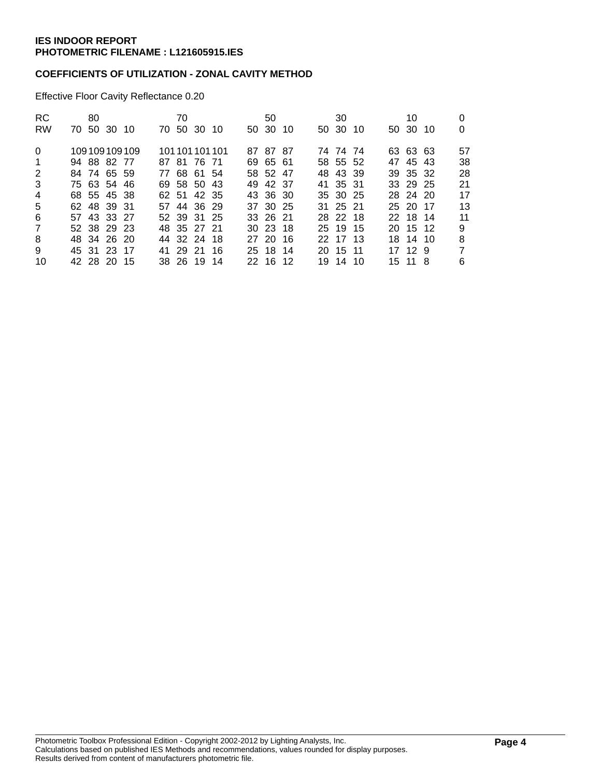## **COEFFICIENTS OF UTILIZATION - ZONAL CAVITY METHOD**

Effective Floor Cavity Reflectance 0.20

| <b>RC</b>      | 80          |              | 70 |             |                 | 50       |  | 30       |  | 10       |                |
|----------------|-------------|--------------|----|-------------|-----------------|----------|--|----------|--|----------|----------------|
| <b>RW</b>      | 70 50 30 10 |              |    | 70 50 30 10 |                 | 50 30 10 |  | 50 30 10 |  | 50 30 10 | 0              |
| $\Omega$       |             | 109109109109 |    |             | 101 101 101 101 | 87 87 87 |  | 74 74 74 |  | 63 63 63 | 57             |
| $\overline{1}$ | 94 88 82 77 |              |    | 87 81 76 71 |                 | 69 65 61 |  | 58 55 52 |  | 47 45 43 | 38             |
| 2              | 84 74 65 59 |              |    | 77 68 61 54 |                 | 58 52 47 |  | 48 43 39 |  | 39 35 32 | 28             |
| 3              | 75 63 54 46 |              |    | 69 58 50 43 |                 | 49 42 37 |  | 41 35 31 |  | 33 29 25 | 21             |
| 4              | 68 55 45 38 |              |    | 62 51 42 35 |                 | 43 36 30 |  | 35 30 25 |  | 28 24 20 | 17             |
| 5              | 62 48 39 31 |              |    | 57 44 36 29 |                 | 37 30 25 |  | 31 25 21 |  | 25 20 17 | 13             |
| 6              | 57 43 33 27 |              |    | 52 39 31 25 |                 | 33 26 21 |  | 28 22 18 |  | 22 18 14 | 11             |
| 7              | 52 38 29 23 |              |    | 48 35 27 21 |                 | 30 23 18 |  | 25 19 15 |  | 20 15 12 | 9              |
| 8              | 48 34 26 20 |              |    | 44 32 24 18 |                 | 27 20 16 |  | 22 17 13 |  | 18 14 10 | 8              |
| 9              | 45 31 23 17 |              |    | 41 29 21 16 |                 | 25 18 14 |  | 20 15 11 |  | 17 12 9  | $\overline{7}$ |
| 10             | 42 28 20 15 |              |    | 38 26 19 14 |                 | 22 16 12 |  | 19 14 10 |  | 15 11 8  | 6              |